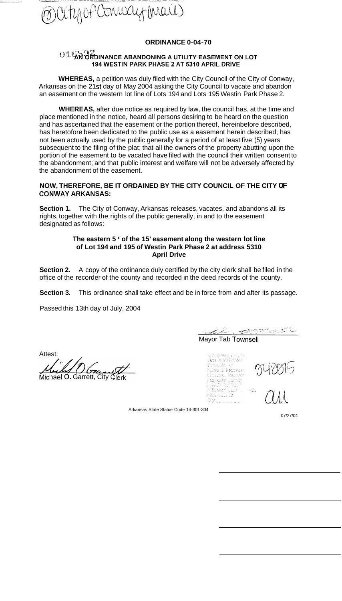

### **ORDINANCE 0-04-70**

# 01532 OL AN ORDINANCE ABANDONING A UTILITY EASEMENT ON LOT 194 WESTIN PARK PHASE 2 AT 5310 APRIL DRIVE

**WHEREAS,** a petition was duly filed with the City Council of the City of Conway, Arkansas on the 21st day of May 2004 asking the City Council to vacate and abandon an easement on the western lot line of Lots 194 and Lots 195 Westin Park Phase 2.

**WHEREAS,** after due notice as required by law, the council has, at the time and place mentioned in the notice, heard all persons desiring to be heard on the question and has ascertained that the easement or the portion thereof, hereinbefore described, has heretofore been dedicated to the public use as a easement herein described; has not been actually used by the public generally for a period of at least five (5) years subsequent to the filing of the plat; that all the owners of the property abutting upon the portion of the easement to be vacated have filed with the council their written consent to the abandonment; and that public interest and welfare will not be adversely affected by the abandonment of the easement.

### **NOW, THEREFORE, BE IT ORDAINED BY THE CITY COUNCIL OF THE CITY OF CONWAY ARKANSAS:**

Section 1. The City of Conway, Arkansas releases, vacates, and abandons all its rights, together with the rights of the public generally, in and to the easement designated as follows:

#### **The eastern 5** ' **of the 15' easement along the western lot line of Lot 194 and 195 of Westin Park Phase 2 at address 5310 April Drive**

**Section 2.**  office of the recorder of the county and recorded in the deed records of the county. A copy of the ordinance duly certified by the city clerk shall be filed in the

**Section 3.** This ordinance shall take effect and be in force from and after its passage.

Passed this 13th day of July, 2004

Attest:

Michael O. Garrett, City Clerk

Mayor Tab Townsell

Market PA straints and 3apr 93/29/29/4 Webstaste fo hulse i Recorden Churca, Garry asekus kifras<br>1968.Keelp III.sto – Rigo Meg silved **DY** William Street

Arkansas State Statue Code 14-301-304

07/27/04